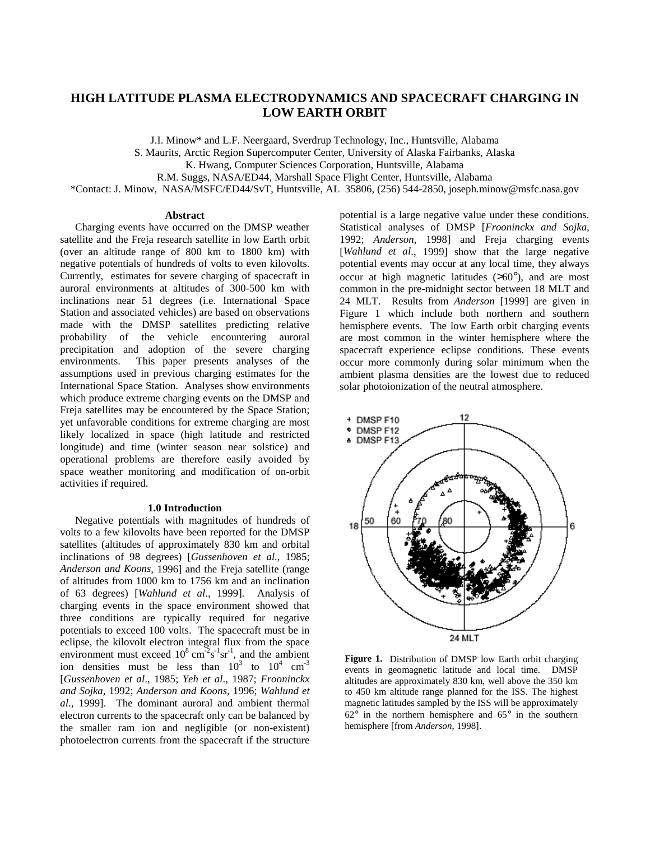# **HIGH LATITUDE PLASMA ELECTRODYNAMICS AND SPACECRAFT CHARGING IN LOW EARTH ORBIT**

J.I. Minow\* and L.F. Neergaard, Sverdrup Technology, Inc., Huntsville, Alabama S. Maurits, Arctic Region Supercomputer Center, University of Alaska Fairbanks, Alaska K. Hwang, Computer Sciences Corporation, Huntsville, Alabama R.M. Suggs, NASA/ED44, Marshall Space Flight Center, Huntsville, Alabama \*Contact: J. Minow, NASA/MSFC/ED44/SvT, Huntsville, AL 35806, (256) 544-2850, joseph.minow@msfc.nasa.gov

#### **Abstract**

Charging events have occurred on the DMSP weather satellite and the Freja research satellite in low Earth orbit (over an altitude range of 800 km to 1800 km) with negative potentials of hundreds of volts to even kilovolts. Currently, estimates for severe charging of spacecraft in auroral environments at altitudes of 300-500 km with inclinations near 51 degrees (i.e. International Space Station and associated vehicles) are based on observations made with the DMSP satellites predicting relative probability of the vehicle encountering auroral precipitation and adoption of the severe charging environments. This paper presents analyses of the assumptions used in previous charging estimates for the International Space Station. Analyses show environments which produce extreme charging events on the DMSP and Freja satellites may be encountered by the Space Station; yet unfavorable conditions for extreme charging are most likely localized in space (high latitude and restricted longitude) and time (winter season near solstice) and operational problems are therefore easily avoided by space weather monitoring and modification of on-orbit activities if required.

# **1.0 Introduction**

Negative potentials with magnitudes of hundreds of volts to a few kilovolts have been reported for the DMSP satellites (altitudes of approximately 830 km and orbital inclinations of 98 degrees) [*Gussenhoven et al.*, 1985; *Anderson and Koons*, 1996] and the Freja satellite (range of altitudes from 1000 km to 1756 km and an inclination of 63 degrees) [*Wahlund et al*., 1999]. Analysis of charging events in the space environment showed that three conditions are typically required for negative potentials to exceed 100 volts. The spacecraft must be in eclipse, the kilovolt electron integral flux from the space environment must exceed  $10^8 \text{ cm}^2 \text{s}^{-1} \text{sr}^{-1}$ , and the ambient ion densities must be less than  $10^3$  to  $10^4$  cm<sup>-3</sup> [*Gussenhoven et al*., 1985; *Yeh et al*., 1987; *Frooninckx and Sojka*, 1992; *Anderson and Koons*, 1996; *Wahlund et al*., 1999]. The dominant auroral and ambient thermal electron currents to the spacecraft only can be balanced by the smaller ram ion and negligible (or non-existent) photoelectron currents from the spacecraft if the structure

potential is a large negative value under these conditions. Statistical analyses of DMSP [*Frooninckx and Sojka*, 1992; *Anderson*, 1998] and Freja charging events [*Wahlund et al*., 1999] show that the large negative potential events may occur at any local time, they always occur at high magnetic latitudes  $(>60^{\circ})$ , and are most common in the pre-midnight sector between 18 MLT and 24 MLT. Results from *Anderson* [1999] are given in Figure 1 which include both northern and southern hemisphere events. The low Earth orbit charging events are most common in the winter hemisphere where the spacecraft experience eclipse conditions. These events occur more commonly during solar minimum when the ambient plasma densities are the lowest due to reduced solar photoionization of the neutral atmosphere.



**Figure 1.** Distribution of DMSP low Earth orbit charging events in geomagnetic latitude and local time. DMSP altitudes are approximately 830 km, well above the 350 km to 450 km altitude range planned for the ISS. The highest magnetic latitudes sampled by the ISS will be approximately  $62^{\circ}$  in the northern hemisphere and  $65^{\circ}$  in the southern hemisphere [from *Anderson*, 1998].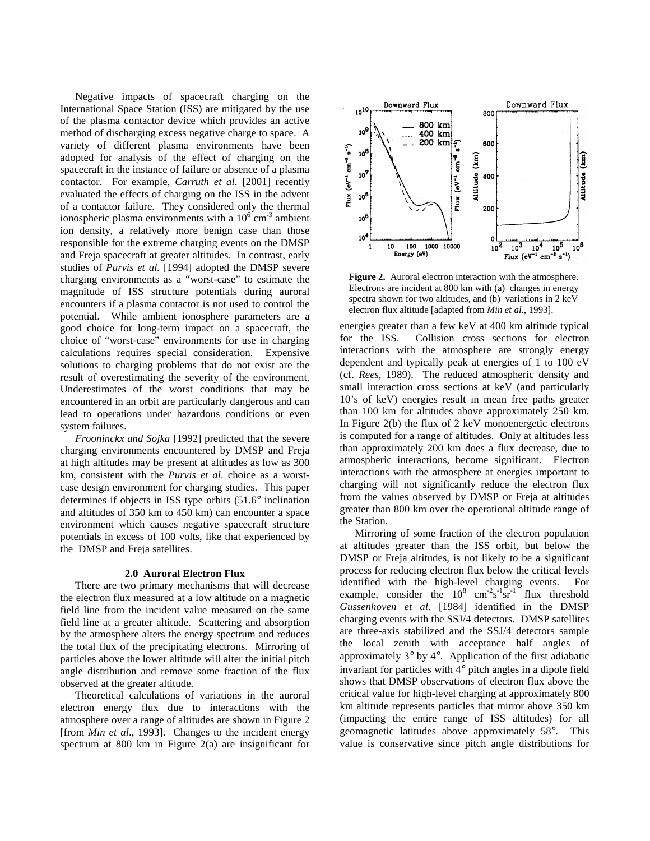Negative impacts of spacecraft charging on the International Space Station (ISS) are mitigated by the use of the plasma contactor device which provides an active method of discharging excess negative charge to space. A variety of different plasma environments have been adopted for analysis of the effect of charging on the spacecraft in the instance of failure or absence of a plasma contactor. For example, *Carruth et al*. [2001] recently evaluated the effects of charging on the ISS in the advent of a contactor failure. They considered only the thermal ionospheric plasma environments with a  $10^6$  cm<sup>-3</sup> ambient ion density, a relatively more benign case than those responsible for the extreme charging events on the DMSP and Freja spacecraft at greater altitudes. In contrast, early studies of *Purvis et al.* [1994] adopted the DMSP severe charging environments as a "worst-case" to estimate the magnitude of ISS structure potentials during auroral encounters if a plasma contactor is not used to control the potential. While ambient ionosphere parameters are a good choice for long-term impact on a spacecraft, the choice of "worst-case" environments for use in charging calculations requires special consideration. Expensive solutions to charging problems that do not exist are the result of overestimating the severity of the environment. Underestimates of the worst conditions that may be encountered in an orbit are particularly dangerous and can lead to operations under hazardous conditions or even system failures.

*Frooninckx and Sojka* [1992] predicted that the severe charging environments encountered by DMSP and Freja at high altitudes may be present at altitudes as low as 300 km, consistent with the *Purvis et al*. choice as a worstcase design environment for charging studies. This paper determines if objects in ISS type orbits (51.6° inclination and altitudes of 350 km to 450 km) can encounter a space environment which causes negative spacecraft structure potentials in excess of 100 volts, like that experienced by the DMSP and Freja satellites.

## **2.0 Auroral Electron Flux**

There are two primary mechanisms that will decrease the electron flux measured at a low altitude on a magnetic field line from the incident value measured on the same field line at a greater altitude. Scattering and absorption by the atmosphere alters the energy spectrum and reduces the total flux of the precipitating electrons. Mirroring of particles above the lower altitude will alter the initial pitch angle distribution and remove some fraction of the flux observed at the greater altitude.

Theoretical calculations of variations in the auroral electron energy flux due to interactions with the atmosphere over a range of altitudes are shown in Figure 2 [from *Min et al*., 1993]. Changes to the incident energy spectrum at 800 km in Figure 2(a) are insignificant for



**Figure 2.** Auroral electron interaction with the atmosphere. Electrons are incident at 800 km with (a) changes in energy spectra shown for two altitudes, and (b) variations in 2 keV electron flux altitude [adapted from *Min et al*., 1993].

energies greater than a few keV at 400 km altitude typical for the ISS. Collision cross sections for electron interactions with the atmosphere are strongly energy dependent and typically peak at energies of 1 to 100 eV (cf. *Rees*, 1989). The reduced atmospheric density and small interaction cross sections at keV (and particularly 10's of keV) energies result in mean free paths greater than 100 km for altitudes above approximately 250 km. In Figure 2(b) the flux of 2 keV monoenergetic electrons is computed for a range of altitudes. Only at altitudes less than approximately 200 km does a flux decrease, due to atmospheric interactions, become significant. Electron interactions with the atmosphere at energies important to charging will not significantly reduce the electron flux from the values observed by DMSP or Freja at altitudes greater than 800 km over the operational altitude range of the Station.

Mirroring of some fraction of the electron population at altitudes greater than the ISS orbit, but below the DMSP or Freja altitudes, is not likely to be a significant process for reducing electron flux below the critical levels identified with the high-level charging events. For example, consider the  $10^8$  cm<sup>-2</sup>s<sup>-1</sup>sr<sup>-1</sup> flux threshold *Gussenhoven et al*. [1984] identified in the DMSP charging events with the SSJ/4 detectors. DMSP satellites are three-axis stabilized and the SSJ/4 detectors sample the local zenith with acceptance half angles of approximately 3° by 4°. Application of the first adiabatic invariant for particles with 4° pitch angles in a dipole field shows that DMSP observations of electron flux above the critical value for high-level charging at approximately 800 km altitude represents particles that mirror above 350 km (impacting the entire range of ISS altitudes) for all geomagnetic latitudes above approximately 58°. This value is conservative since pitch angle distributions for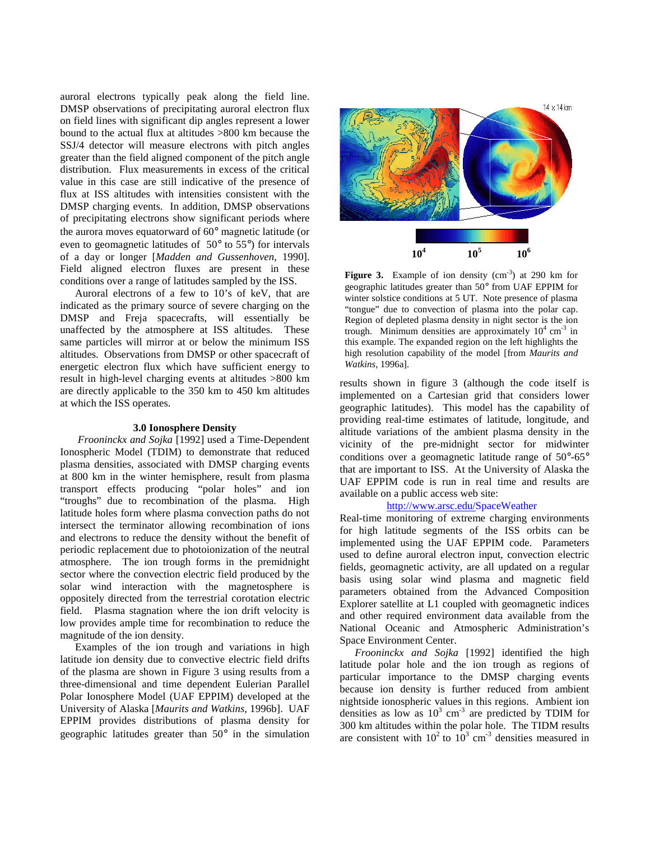auroral electrons typically peak along the field line. DMSP observations of precipitating auroral electron flux on field lines with significant dip angles represent a lower bound to the actual flux at altitudes >800 km because the SSJ/4 detector will measure electrons with pitch angles greater than the field aligned component of the pitch angle distribution. Flux measurements in excess of the critical value in this case are still indicative of the presence of flux at ISS altitudes with intensities consistent with the DMSP charging events. In addition, DMSP observations of precipitating electrons show significant periods where the aurora moves equatorward of 60° magnetic latitude (or even to geomagnetic latitudes of 50° to 55°) for intervals of a day or longer [*Madden and Gussenhoven*, 1990]. Field aligned electron fluxes are present in these conditions over a range of latitudes sampled by the ISS.

Auroral electrons of a few to 10's of keV, that are indicated as the primary source of severe charging on the DMSP and Freja spacecrafts, will essentially be unaffected by the atmosphere at ISS altitudes. These same particles will mirror at or below the minimum ISS altitudes. Observations from DMSP or other spacecraft of energetic electron flux which have sufficient energy to result in high-level charging events at altitudes >800 km are directly applicable to the 350 km to 450 km altitudes at which the ISS operates.

#### **3.0 Ionosphere Density**

*Frooninckx and Sojka* [1992] used a Time-Dependent Ionospheric Model (TDIM) to demonstrate that reduced plasma densities, associated with DMSP charging events at 800 km in the winter hemisphere, result from plasma transport effects producing "polar holes" and ion "troughs" due to recombination of the plasma. High latitude holes form where plasma convection paths do not intersect the terminator allowing recombination of ions and electrons to reduce the density without the benefit of periodic replacement due to photoionization of the neutral atmosphere. The ion trough forms in the premidnight sector where the convection electric field produced by the solar wind interaction with the magnetosphere is oppositely directed from the terrestrial corotation electric field. Plasma stagnation where the ion drift velocity is low provides ample time for recombination to reduce the magnitude of the ion density.

Examples of the ion trough and variations in high latitude ion density due to convective electric field drifts of the plasma are shown in Figure 3 using results from a three-dimensional and time dependent Eulerian Parallel Polar Ionosphere Model (UAF EPPIM) developed at the University of Alaska [*Maurits and Watkins*, 1996b]. UAF EPPIM provides distributions of plasma density for geographic latitudes greater than 50° in the simulation



**Figure 3.** Example of ion density  $(cm<sup>-3</sup>)$  at 290 km for geographic latitudes greater than 50° from UAF EPPIM for winter solstice conditions at 5 UT. Note presence of plasma "tongue" due to convection of plasma into the polar cap. Region of depleted plasma density in night sector is the ion trough. Minimum densities are approximately  $10^4$  cm<sup>-3</sup> in this example. The expanded region on the left highlights the high resolution capability of the model [from *Maurits and Watkins*, 1996a].

results shown in figure 3 (although the code itself is implemented on a Cartesian grid that considers lower geographic latitudes). This model has the capability of providing real-time estimates of latitude, longitude, and altitude variations of the ambient plasma density in the vicinity of the pre-midnight sector for midwinter conditions over a geomagnetic latitude range of 50°-65° that are important to ISS. At the University of Alaska the UAF EPPIM code is run in real time and results are available on a public access web site:

# http://www.arsc.edu/SpaceWeather

Real-time monitoring of extreme charging environments for high latitude segments of the ISS orbits can be implemented using the UAF EPPIM code. Parameters used to define auroral electron input, convection electric fields, geomagnetic activity, are all updated on a regular basis using solar wind plasma and magnetic field parameters obtained from the Advanced Composition Explorer satellite at L1 coupled with geomagnetic indices and other required environment data available from the National Oceanic and Atmospheric Administration's Space Environment Center.

*Frooninckx and Sojka* [1992] identified the high latitude polar hole and the ion trough as regions of particular importance to the DMSP charging events because ion density is further reduced from ambient nightside ionospheric values in this regions. Ambient ion densities as low as  $10^3$  cm<sup>-3</sup> are predicted by TDIM for 300 km altitudes within the polar hole. The TIDM results are consistent with  $10^2$  to  $10^3$  cm<sup>-3</sup> densities measured in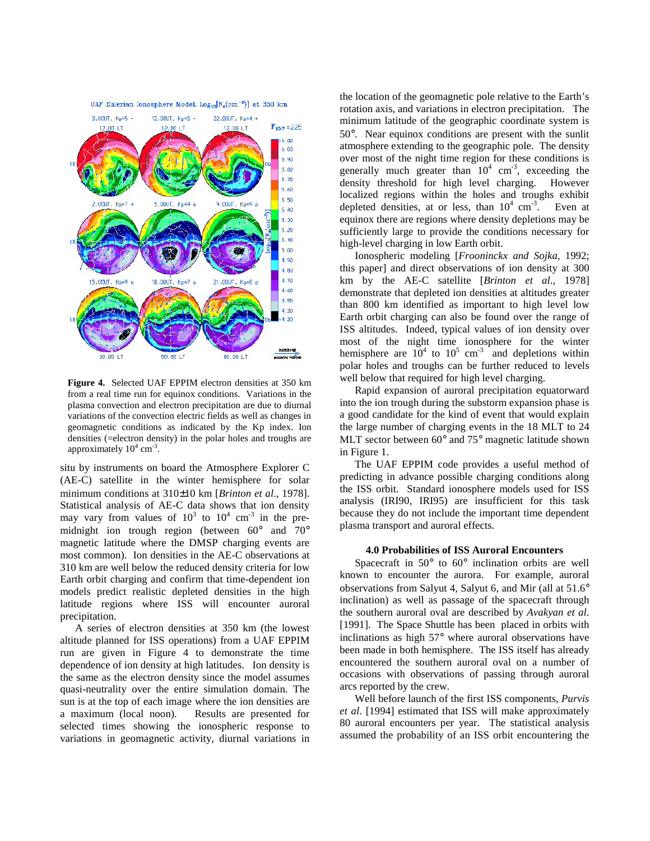



**Figure 4.** Selected UAF EPPIM electron densities at 350 km from a real time run for equinox conditions. Variations in the plasma convection and electron precipitation are due to diurnal variations of the convection electric fields as well as changes in geomagnetic conditions as indicated by the Kp index. Ion densities (=electron density) in the polar holes and troughs are approximately  $10^4$  cm<sup>-3</sup>.

situ by instruments on board the Atmosphere Explorer C (AE-C) satellite in the winter hemisphere for solar minimum conditions at 310±10 km [*Brinton et al*., 1978]. Statistical analysis of AE-C data shows that ion density may vary from values of  $10^3$  to  $10^4$  cm<sup>-3</sup> in the premidnight ion trough region (between 60° and 70° magnetic latitude where the DMSP charging events are most common). Ion densities in the AE-C observations at 310 km are well below the reduced density criteria for low Earth orbit charging and confirm that time-dependent ion models predict realistic depleted densities in the high latitude regions where ISS will encounter auroral precipitation.

A series of electron densities at 350 km (the lowest altitude planned for ISS operations) from a UAF EPPIM run are given in Figure 4 to demonstrate the time dependence of ion density at high latitudes. Ion density is the same as the electron density since the model assumes quasi-neutrality over the entire simulation domain. The sun is at the top of each image where the ion densities are a maximum (local noon). Results are presented for selected times showing the ionospheric response to variations in geomagnetic activity, diurnal variations in

the location of the geomagnetic pole relative to the Earth's rotation axis, and variations in electron precipitation. The minimum latitude of the geographic coordinate system is 50°. Near equinox conditions are present with the sunlit atmosphere extending to the geographic pole. The density over most of the night time region for these conditions is generally much greater than  $10^4$  cm<sup>-3</sup>, exceeding the density threshold for high level charging. However localized regions within the holes and troughs exhibit depleted densities, at or less, than  $10^4$  cm<sup>-3</sup>. Even at equinox there are regions where density depletions may be sufficiently large to provide the conditions necessary for high-level charging in low Earth orbit.

Ionospheric modeling [*Frooninckx and Sojka*, 1992; this paper] and direct observations of ion density at 300 km by the AE-C satellite [*Brinton et al*., 1978] demonstrate that depleted ion densities at altitudes greater than 800 km identified as important to high level low Earth orbit charging can also be found over the range of ISS altitudes. Indeed, typical values of ion density over most of the night time ionosphere for the winter hemisphere are  $10^4$  to  $10^5$  cm<sup>-3</sup> and depletions within polar holes and troughs can be further reduced to levels well below that required for high level charging.

Rapid expansion of auroral precipitation equatorward into the ion trough during the substorm expansion phase is a good candidate for the kind of event that would explain the large number of charging events in the 18 MLT to 24 MLT sector between 60<sup>°</sup> and 75<sup>°</sup> magnetic latitude shown in Figure 1.

The UAF EPPIM code provides a useful method of predicting in advance possible charging conditions along the ISS orbit. Standard ionosphere models used for ISS analysis (IRI90, IRI95) are insufficient for this task because they do not include the important time dependent plasma transport and auroral effects.

## **4.0 Probabilities of ISS Auroral Encounters**

Spacecraft in 50° to 60° inclination orbits are well known to encounter the aurora. For example, auroral observations from Salyut 4, Salyut 6, and Mir (all at 51.6° inclination) as well as passage of the spacecraft through the southern auroral oval are described by *Avakyan et al*. [1991]. The Space Shuttle has been placed in orbits with inclinations as high 57° where auroral observations have been made in both hemisphere. The ISS itself has already encountered the southern auroral oval on a number of occasions with observations of passing through auroral arcs reported by the crew.

Well before launch of the first ISS components, *Purvis et al*. [1994] estimated that ISS will make approximately 80 auroral encounters per year. The statistical analysis assumed the probability of an ISS orbit encountering the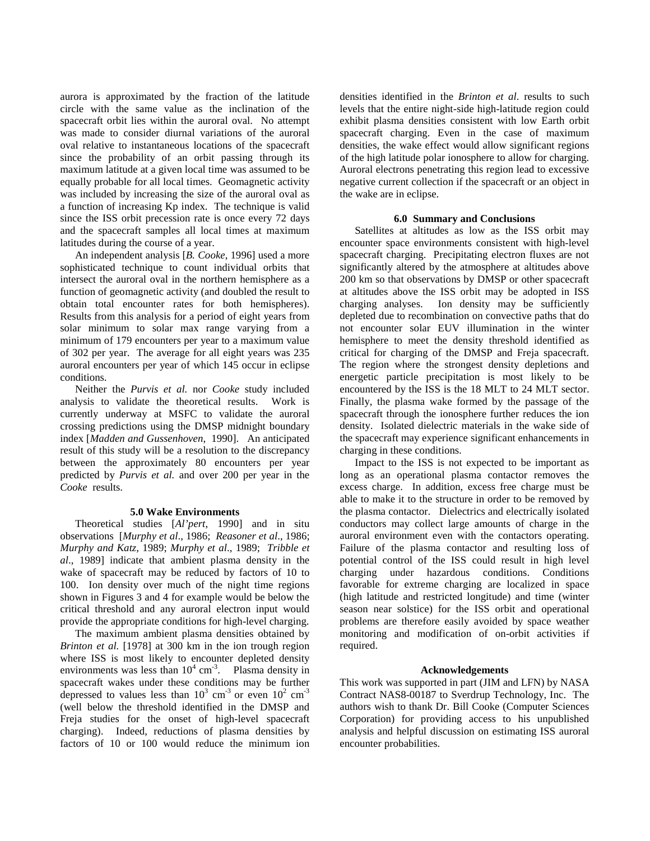aurora is approximated by the fraction of the latitude circle with the same value as the inclination of the spacecraft orbit lies within the auroral oval. No attempt was made to consider diurnal variations of the auroral oval relative to instantaneous locations of the spacecraft since the probability of an orbit passing through its maximum latitude at a given local time was assumed to be equally probable for all local times. Geomagnetic activity was included by increasing the size of the auroral oval as a function of increasing Kp index. The technique is valid since the ISS orbit precession rate is once every 72 days and the spacecraft samples all local times at maximum latitudes during the course of a year.

An independent analysis [*B. Cooke*, 1996] used a more sophisticated technique to count individual orbits that intersect the auroral oval in the northern hemisphere as a function of geomagnetic activity (and doubled the result to obtain total encounter rates for both hemispheres). Results from this analysis for a period of eight years from solar minimum to solar max range varying from a minimum of 179 encounters per year to a maximum value of 302 per year. The average for all eight years was 235 auroral encounters per year of which 145 occur in eclipse conditions.

Neither the *Purvis et al.* nor *Cooke* study included analysis to validate the theoretical results. Work is currently underway at MSFC to validate the auroral crossing predictions using the DMSP midnight boundary index [*Madden and Gussenhoven*, 1990]. An anticipated result of this study will be a resolution to the discrepancy between the approximately 80 encounters per year predicted by *Purvis et al.* and over 200 per year in the *Cooke* results.

# **5.0 Wake Environments**

Theoretical studies [*Al'pert*, 1990] and in situ observations [*Murphy et al*., 1986; *Reasoner et al*., 1986; *Murphy and Katz*, 1989; *Murphy et al*., 1989; *Tribble et al*., 1989] indicate that ambient plasma density in the wake of spacecraft may be reduced by factors of 10 to 100. Ion density over much of the night time regions shown in Figures 3 and 4 for example would be below the critical threshold and any auroral electron input would provide the appropriate conditions for high-level charging.

The maximum ambient plasma densities obtained by *Brinton et al.* [1978] at 300 km in the ion trough region where ISS is most likely to encounter depleted density environments was less than  $10^4$  cm<sup>-3</sup>. Plasma density in spacecraft wakes under these conditions may be further depressed to values less than  $10^3$  cm<sup>-3</sup> or even  $10^2$  cm<sup>-3</sup> (well below the threshold identified in the DMSP and Freja studies for the onset of high-level spacecraft charging). Indeed, reductions of plasma densities by factors of 10 or 100 would reduce the minimum ion

densities identified in the *Brinton et al*. results to such levels that the entire night-side high-latitude region could exhibit plasma densities consistent with low Earth orbit spacecraft charging. Even in the case of maximum densities, the wake effect would allow significant regions of the high latitude polar ionosphere to allow for charging. Auroral electrons penetrating this region lead to excessive negative current collection if the spacecraft or an object in the wake are in eclipse.

# **6.0 Summary and Conclusions**

Satellites at altitudes as low as the ISS orbit may encounter space environments consistent with high-level spacecraft charging. Precipitating electron fluxes are not significantly altered by the atmosphere at altitudes above 200 km so that observations by DMSP or other spacecraft at altitudes above the ISS orbit may be adopted in ISS charging analyses. Ion density may be sufficiently depleted due to recombination on convective paths that do not encounter solar EUV illumination in the winter hemisphere to meet the density threshold identified as critical for charging of the DMSP and Freja spacecraft. The region where the strongest density depletions and energetic particle precipitation is most likely to be encountered by the ISS is the 18 MLT to 24 MLT sector. Finally, the plasma wake formed by the passage of the spacecraft through the ionosphere further reduces the ion density. Isolated dielectric materials in the wake side of the spacecraft may experience significant enhancements in charging in these conditions.

Impact to the ISS is not expected to be important as long as an operational plasma contactor removes the excess charge. In addition, excess free charge must be able to make it to the structure in order to be removed by the plasma contactor. Dielectrics and electrically isolated conductors may collect large amounts of charge in the auroral environment even with the contactors operating. Failure of the plasma contactor and resulting loss of potential control of the ISS could result in high level charging under hazardous conditions. Conditions favorable for extreme charging are localized in space (high latitude and restricted longitude) and time (winter season near solstice) for the ISS orbit and operational problems are therefore easily avoided by space weather monitoring and modification of on-orbit activities if required.

#### **Acknowledgements**

This work was supported in part (JIM and LFN) by NASA Contract NAS8-00187 to Sverdrup Technology, Inc. The authors wish to thank Dr. Bill Cooke (Computer Sciences Corporation) for providing access to his unpublished analysis and helpful discussion on estimating ISS auroral encounter probabilities.